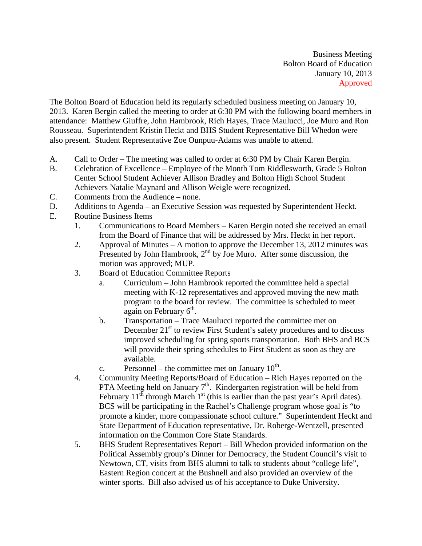Business Meeting Bolton Board of Education January 10, 2013 Approved

The Bolton Board of Education held its regularly scheduled business meeting on January 10, 2013. Karen Bergin called the meeting to order at 6:30 PM with the following board members in attendance: Matthew Giuffre, John Hambrook, Rich Hayes, Trace Maulucci, Joe Muro and Ron Rousseau. Superintendent Kristin Heckt and BHS Student Representative Bill Whedon were also present. Student Representative Zoe Ounpuu-Adams was unable to attend.

- A. Call to Order The meeting was called to order at 6:30 PM by Chair Karen Bergin.
- B. Celebration of Excellence Employee of the Month Tom Riddlesworth, Grade 5 Bolton Center School Student Achiever Allison Bradley and Bolton High School Student Achievers Natalie Maynard and Allison Weigle were recognized.
- C. Comments from the Audience none.
- D. Additions to Agenda an Executive Session was requested by Superintendent Heckt.
- E. Routine Business Items
	- 1. Communications to Board Members Karen Bergin noted she received an email from the Board of Finance that will be addressed by Mrs. Heckt in her report.
	- 2. Approval of Minutes A motion to approve the December 13, 2012 minutes was Presented by John Hambrook,  $2<sup>nd</sup>$  by Joe Muro. After some discussion, the motion was approved; MUP.
	- 3. Board of Education Committee Reports
		- a. Curriculum John Hambrook reported the committee held a special meeting with K-12 representatives and approved moving the new math program to the board for review. The committee is scheduled to meet again on February  $6<sup>th</sup>$ .
		- b. Transportation Trace Maulucci reported the committee met on December  $21<sup>st</sup>$  to review First Student's safety procedures and to discuss improved scheduling for spring sports transportation. Both BHS and BCS will provide their spring schedules to First Student as soon as they are available.
		- c. Personnel the committee met on January  $10^{th}$ .
	- 4. Community Meeting Reports/Board of Education Rich Hayes reported on the PTA Meeting held on January  $7<sup>th</sup>$ . Kindergarten registration will be held from February  $11^{th}$  through March  $1^{st}$  (this is earlier than the past year's April dates). BCS will be participating in the Rachel's Challenge program whose goal is "to promote a kinder, more compassionate school culture." Superintendent Heckt and State Department of Education representative, Dr. Roberge-Wentzell, presented information on the Common Core State Standards.
	- 5. BHS Student Representatives Report Bill Whedon provided information on the Political Assembly group's Dinner for Democracy, the Student Council's visit to Newtown, CT, visits from BHS alumni to talk to students about "college life", Eastern Region concert at the Bushnell and also provided an overview of the winter sports. Bill also advised us of his acceptance to Duke University.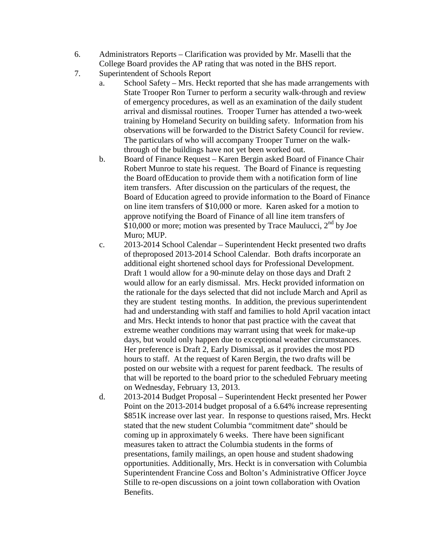- 6. Administrators Reports Clarification was provided by Mr. Maselli that the College Board provides the AP rating that was noted in the BHS report.
- 7. Superintendent of Schools Report
	- a. School Safety Mrs. Heckt reported that she has made arrangements with State Trooper Ron Turner to perform a security walk-through and review of emergency procedures, as well as an examination of the daily student arrival and dismissal routines. Trooper Turner has attended a two-week training by Homeland Security on building safety. Information from his observations will be forwarded to the District Safety Council for review. The particulars of who will accompany Trooper Turner on the walkthrough of the buildings have not yet been worked out.
	- b. Board of Finance Request Karen Bergin asked Board of Finance Chair Robert Munroe to state his request. The Board of Finance is requesting the Board ofEducation to provide them with a notification form of line item transfers. After discussion on the particulars of the request, the Board of Education agreed to provide information to the Board of Finance on line item transfers of \$10,000 or more. Karen asked for a motion to approve notifying the Board of Finance of all line item transfers of \$10,000 or more; motion was presented by Trace Maulucci,  $2<sup>nd</sup>$  by Joe Muro; MUP.
	- c. 2013-2014 School Calendar Superintendent Heckt presented two drafts of theproposed 2013-2014 School Calendar. Both drafts incorporate an additional eight shortened school days for Professional Development. Draft 1 would allow for a 90-minute delay on those days and Draft 2 would allow for an early dismissal. Mrs. Heckt provided information on the rationale for the days selected that did not include March and April as they are student testing months. In addition, the previous superintendent had and understanding with staff and families to hold April vacation intact and Mrs. Heckt intends to honor that past practice with the caveat that extreme weather conditions may warrant using that week for make-up days, but would only happen due to exceptional weather circumstances. Her preference is Draft 2, Early Dismissal, as it provides the most PD hours to staff. At the request of Karen Bergin, the two drafts will be posted on our website with a request for parent feedback. The results of that will be reported to the board prior to the scheduled February meeting on Wednesday, February 13, 2013.
	- d. 2013-2014 Budget Proposal Superintendent Heckt presented her Power Point on the 2013-2014 budget proposal of a 6.64% increase representing \$851K increase over last year. In response to questions raised, Mrs. Heckt stated that the new student Columbia "commitment date" should be coming up in approximately 6 weeks. There have been significant measures taken to attract the Columbia students in the forms of presentations, family mailings, an open house and student shadowing opportunities. Additionally, Mrs. Heckt is in conversation with Columbia Superintendent Francine Coss and Bolton's Administrative Officer Joyce Stille to re-open discussions on a joint town collaboration with Ovation Benefits.